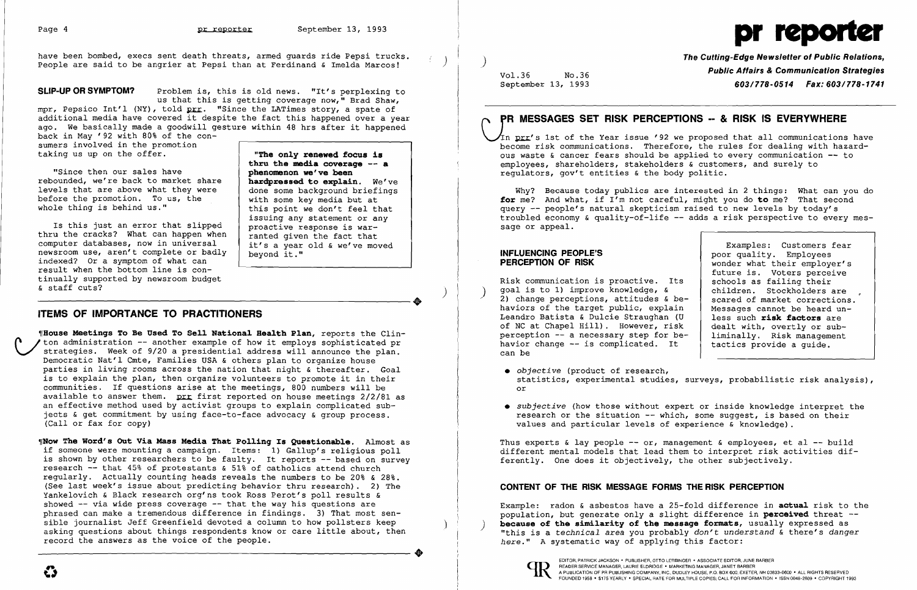have been bombed, execs sent death threats, armed guards ride Pepsi trucks. People are said to be angrier at Pepsi than at Ferdinand & Imelda Marcos!



SLIP-UP OR SYMPTOM? Problem is, this is old news. "It's perplexing to us that this is getting coverage now," Brad Shaw,

mpr, Pepsico Int'l (NY), told  $p_{LL}$ . "Since the LATimes story, a spate of additional media have covered it despite the fact this happened over a year ago. We basically made a goodwill gesture within 48 hrs after it happened

back in May '92 with 80% of the consumers involved in the promotion taking us up on the offer.

"Since then our sales have rebounded, we're back to market share levels that are above what they were before the promotion. To us, the whole thing is behind us."

Is this just an error that slipped thru the cracks? What can happen when computer databases, now in universal newsroom use, aren't complete or badly indexed? Or a symptom of what can result when the bottom line is continually supported by newsroom budget & staff cuts? tinually supported by newsroom budget<br>
& staff cuts?<br>
<br> **ITEMS OF IMPOPTANCE TO PRACTITIONEDS** 

"The only renewed focus is thru the media coverage -- <sup>a</sup> phenomenon we've been hardpressed to explain. We've done some background briefings with some key media but at this point we don't feel that issuing any statement or any proactive response is warranted given the fact that it's a year old & we've moved beyond it."

\House Meetings To Be Used To Sell National Health Plan, reports the Clin-/ ton administration  $-$  another example of how it employs sophisticated pr strategies. Week of 9/20 a presidential address will announce the plan. Democratic Nat'l Cmte, Families USA & others plan to organize house parties in living rooms across the nation that night  $\epsilon$  thereafter. Goal is to explain the plan, then organize volunteers to promote it in their communities. If questions arise at the meetings, 800 numbers will be available to answer them.  $prr$  first reported on house meetings  $2/2/81$  as an effective method used by activist groups to explain complicated subjects & get commitment by using face-to-face advocacy & group process. (Call or fax for copy)

Wow The Word's Out Via Mass Media That Polling Is Questionable. Almost as if someone were mounting a campaign. Items: 1) Gallup's religious poll is shown by other researchers to be faulty. It reports -- based on survey research -- that 45% of protestants & 51% of catholics attend church regularly. Actually counting heads reveals the numbers to be 20% & 28%. (See last week's issue about predicting behavior thru research). 2) The Yankelovich & Black research org'ns took Ross Perot's poll results & showed  $--$  via wide press coverage  $--$  that the way his questions are phrased can make a tremendous difference in findings. 3) That most sen-<br>sible journalist Jeff Greenfield devoted a column to how pollsters keep sible journalist Jeff Greenfield devoted a column to how pollsters keep<br>asking questions about things respondents know or care little about, then<br>record the answers as the voice of the people.<br>here." A systematic way of ap record the answers as the voice of the people.<br>
• EDITOR, PATRICK JACKSON' PUBLISHER, OTTO LERBINGER • ASSOCIATE EDITOR, JUNE BARBER<br>
• EDITOR, PATRICK JACKSON' PUBLISHER, OTTO LERBINGER • ASSOCIATE EDITOR, JUNE BARBER<br>
•

The Cutting-Edge Newsletter of Public Relations, ) Vol.36 No.36 No.36 No.36 No.36 No.36 No.36 No.36 No.36 No.36 No.36 No.36 No.36 No.36 No.36 No.36 No.36 No.36 N<br>**603/778-0514 Fax:603/778-1741** Names National Reptember 13, 1993 No.37 No.37 No.37 No.37 No.37 No.37 No.37 No. 603/778-0514 Fax: 603/778-1741

## ITEMS OF IMPORTANCE TO PRACTITIONERS

In  $prr'$ s 1st of the Year issue '92 we proposed that all communications have become risk communications. Therefore, the rules for dealing with hazardous waste & cancer fears should be applied to every communication -- to employees, shareholders, stakeholders & customers, and surely to regulators, gov't entities & the body politic.

Thus experts  $\&$  lay people  $-\sim$  or, management  $\&$  employees, et al  $-\sim$  build different mental models that lead them to interpret risk activities differently. One does it objectively, the other subjectively.

)

)

# PR MESSAGES SET RISK PERCEPTIONS -- & RISK IS EVERYWHERE

Why? Because today publics are interested in 2 things: What can you do for me? And what, if I'm not careful, might you do to me? That second query -- people's natural skepticism raised to new levels by today's troubled economy & quality-of-life -- adds a risk perspective to every message or appeal.

INFLUENCING PEOPLE'S PERCEPTION OF RISK Risk communication is proactive. Its goal is to 1) improve knowledge, &<br>2) change perceptions, attitudes & behaviors of the target public, explain Leandro Batista & Dulcie Straughan (U of NC at Chapel Hill). However, risk perception -- a necessary step for behavior change -- is complicated. It can be Examples: Customers fear poor quality. Employees wonder what their employer's future is. Voters perceive schools as failing their children. Stockholders are scared of market corrections. Messages cannot be heard unless such risk factors are dealt with, overtly or subliminally. Risk management tactics provide a guide.

- *objective* (product of research, or
- *• subjective* (how those without expert or inside knowledge interpret the values and particular levels of experience & knowledge).

statistics, experimental studies, surveys, probabilistic risk analysis),

research or the situation -- which, some suggest, is based on their

### CONTENT OF THE RISK MESSAGE FORMS THE RISK PERCEPTION

Example: radon & asbestos have a 25-fold difference in **actual** risk to the population, but generate only a slight difference in **perceived** threat  $-$